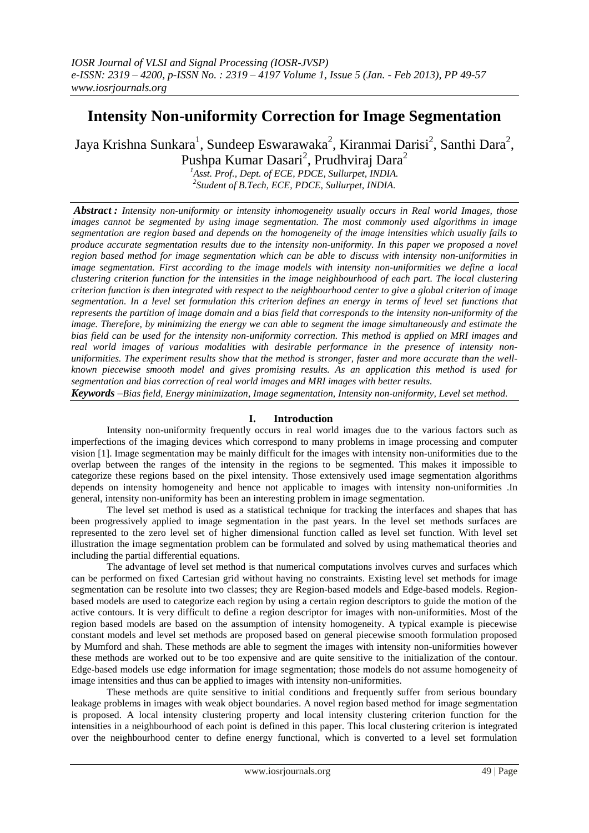# **Intensity Non-uniformity Correction for Image Segmentation**

Jaya Krishna Sunkara<sup>1</sup>, Sundeep Eswarawaka<sup>2</sup>, Kiranmai Darisi<sup>2</sup>, Santhi Dara<sup>2</sup>, Pushpa Kumar Dasari<sup>2</sup>, Prudhviraj Dara<sup>2</sup>

*<sup>1</sup>Asst. Prof., Dept. of ECE, PDCE, Sullurpet, INDIA. 2 Student of B.Tech, ECE, PDCE, Sullurpet, INDIA.*

*Abstract : Intensity non-uniformity or intensity inhomogeneity usually occurs in Real world Images, those images cannot be segmented by using image segmentation. The most commonly used algorithms in image segmentation are region based and depends on the homogeneity of the image intensities which usually fails to produce accurate segmentation results due to the intensity non-uniformity. In this paper we proposed a novel region based method for image segmentation which can be able to discuss with intensity non-uniformities in image segmentation. First according to the image models with intensity non-uniformities we define a local clustering criterion function for the intensities in the image neighbourhood of each part. The local clustering criterion function is then integrated with respect to the neighbourhood center to give a global criterion of image segmentation. In a level set formulation this criterion defines an energy in terms of level set functions that represents the partition of image domain and a bias field that corresponds to the intensity non-uniformity of the image. Therefore, by minimizing the energy we can able to segment the image simultaneously and estimate the bias field can be used for the intensity non-uniformity correction. This method is applied on MRI images and real world images of various modalities with desirable performance in the presence of intensity nonuniformities. The experiment results show that the method is stronger, faster and more accurate than the wellknown piecewise smooth model and gives promising results. As an application this method is used for segmentation and bias correction of real world images and MRI images with better results.*

*Keywords –Bias field, Energy minimization, Image segmentation, Intensity non-uniformity, Level set method.*

# **I. Introduction**

Intensity non-uniformity frequently occurs in real world images due to the various factors such as imperfections of the imaging devices which correspond to many problems in image processing and computer vision [1]. Image segmentation may be mainly difficult for the images with intensity non-uniformities due to the overlap between the ranges of the intensity in the regions to be segmented. This makes it impossible to categorize these regions based on the pixel intensity. Those extensively used image segmentation algorithms depends on intensity homogeneity and hence not applicable to images with intensity non-uniformities .In general, intensity non-uniformity has been an interesting problem in image segmentation.

The level set method is used as a statistical technique for tracking the interfaces and shapes that has been progressively applied to image segmentation in the past years. In the level set methods surfaces are represented to the zero level set of higher dimensional function called as level set function. With level set illustration the image segmentation problem can be formulated and solved by using mathematical theories and including the partial differential equations.

The advantage of level set method is that numerical computations involves curves and surfaces which can be performed on fixed Cartesian grid without having no constraints. Existing level set methods for image segmentation can be resolute into two classes; they are Region-based models and Edge-based models. Regionbased models are used to categorize each region by using a certain region descriptors to guide the motion of the active contours. It is very difficult to define a region descriptor for images with non-uniformities. Most of the region based models are based on the assumption of intensity homogeneity. A typical example is piecewise constant models and level set methods are proposed based on general piecewise smooth formulation proposed by Mumford and shah. These methods are able to segment the images with intensity non-uniformities however these methods are worked out to be too expensive and are quite sensitive to the initialization of the contour. Edge-based models use edge information for image segmentation; those models do not assume homogeneity of image intensities and thus can be applied to images with intensity non-uniformities.

These methods are quite sensitive to initial conditions and frequently suffer from serious boundary leakage problems in images with weak object boundaries. A novel region based method for image segmentation is proposed. A local intensity clustering property and local intensity clustering criterion function for the intensities in a neighbourhood of each point is defined in this paper. This local clustering criterion is integrated over the neighbourhood center to define energy functional, which is converted to a level set formulation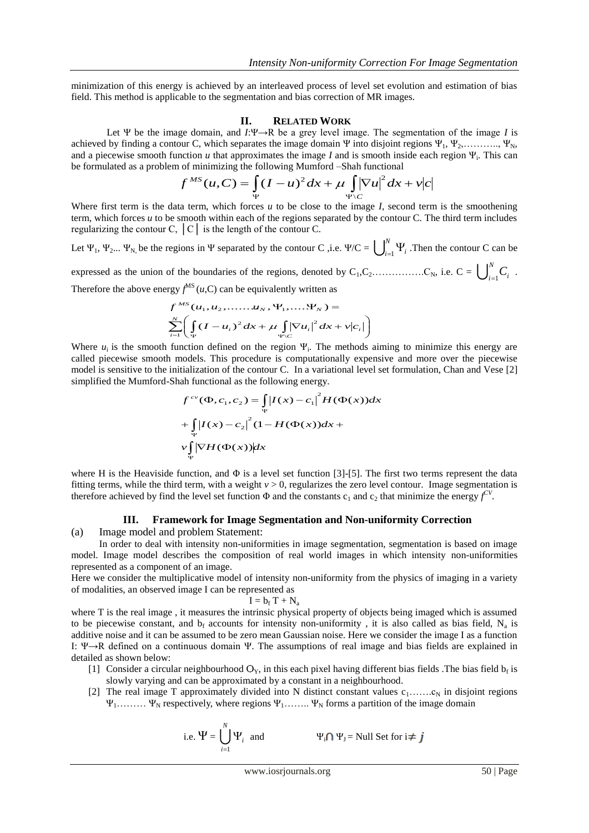minimization of this energy is achieved by an interleaved process of level set evolution and estimation of bias field. This method is applicable to the segmentation and bias correction of MR images.

#### **II. RELATED WORK**

Let Ψ be the image domain, and *I*:Ψ→R be a grey level image. The segmentation of the image *I* is achieved by finding a contour C, which separates the image domain Ψ into disjoint regions  $\Psi_1, \Psi_2, \ldots, \Psi_N$ , and a piecewise smooth function  $u$  that approximates the image  $I$  and is smooth inside each region  $\Psi_i$ . This can be formulated as a problem of minimizing the following Mumford –Shah functional

$$
f^{MS}(u,C) = \int_{\Psi} (I - u)^2 dx + \mu \int_{\Psi \setminus C} |\nabla u|^2 dx + v|c|
$$

Where first term is the data term, which forces *u* to be close to the image *I,* second term is the smoothening term, which forces *u* to be smooth within each of the regions separated by the contour C. The third term includes regularizing the contour C,  $\vert C \vert$  is the length of the contour C.

Let  $\Psi_1$ ,  $\Psi_2$ ...  $\Psi_{N}$ , be the regions in  $\Psi$  separated by the contour C , i.e.  $\Psi/C = \bigcup_{i=1}^{N}$  $\int_{i=1}^{1} \Psi_i$ . Then the contour C can be expressed as the union of the boundaries of the regions, denoted by  $C_1, C_2, \ldots, C_N$ , i.e.  $C = \bigcup_{i=1}^N C_i$  $\int_{i=1}^{N} C_i$ .

Therefore the above energy  $f^{MS}(u, C)$  can be equivalently written as

$$
f^{MS}(u_1, u_2, \dots, u_N, \Psi_1, \dots, \Psi_N) =
$$
  

$$
\sum_{i=1}^{N} \left( \int_{\Psi} (I - u_i)^2 dx + \mu \int_{\Psi \setminus C} |\nabla u_i|^2 dx + \nu |c_i| \right)
$$

Where  $u_i$  is the smooth function defined on the region  $\Psi_i$ . The methods aiming to minimize this energy are called piecewise smooth models. This procedure is computationally expensive and more over the piecewise model is sensitive to the initialization of the contour C. In a variational level set formulation, Chan and Vese [2] simplified the Mumford-Shah functional as the following energy.

$$
f^{cv}(\Phi, c_1, c_2) = \int_{\Psi} |I(x) - c_1|^2 H(\Phi(x)) dx
$$
  
+ 
$$
\int_{\Psi} |I(x) - c_2|^2 (1 - H(\Phi(x)) dx + \nu \int_{\Psi} |\nabla H(\Phi(x))| dx
$$

where H is the Heaviside function, and  $\Phi$  is a level set function [3]-[5]. The first two terms represent the data fitting terms, while the third term, with a weight  $v > 0$ , regularizes the zero level contour. Image segmentation is therefore achieved by find the level set function  $\Phi$  and the constants  $c_1$  and  $c_2$  that minimize the energy  $f^{CV}$ .

# **III. Framework for Image Segmentation and Non-uniformity Correction**

(a) Image model and problem Statement:

In order to deal with intensity non-uniformities in image segmentation, segmentation is based on image model. Image model describes the composition of real world images in which intensity non-uniformities represented as a component of an image.

Here we consider the multiplicative model of intensity non-uniformity from the physics of imaging in a variety of modalities, an observed image I can be represented as

$$
I=b_f\,T+N_a
$$

where T is the real image, it measures the intrinsic physical property of objects being imaged which is assumed to be piecewise constant, and  $b_f$  accounts for intensity non-uniformity, it is also called as bias field,  $N_a$  is additive noise and it can be assumed to be zero mean Gaussian noise. Here we consider the image I as a function I: Ψ→R defined on a continuous domain Ψ. The assumptions of real image and bias fields are explained in detailed as shown below:

- [1] Consider a circular neighbourhood  $O_Y$ , in this each pixel having different bias fields .The bias field  $b_f$  is slowly varying and can be approximated by a constant in a neighbourhood.
- [2] The real image T approximately divided into N distinct constant values  $c_1$ ....... $c_N$  in disjoint regions  $\Psi_1$ .........  $\Psi_N$  respectively, where regions  $\Psi_1$ ........  $\Psi_N$  forms a partition of the image domain

i.e. 
$$
\Psi = \bigcup_{i=1}^{N} \Psi_i
$$
 and

 $\Psi_i \cap \Psi_j$  = Null Set for  $i \neq j$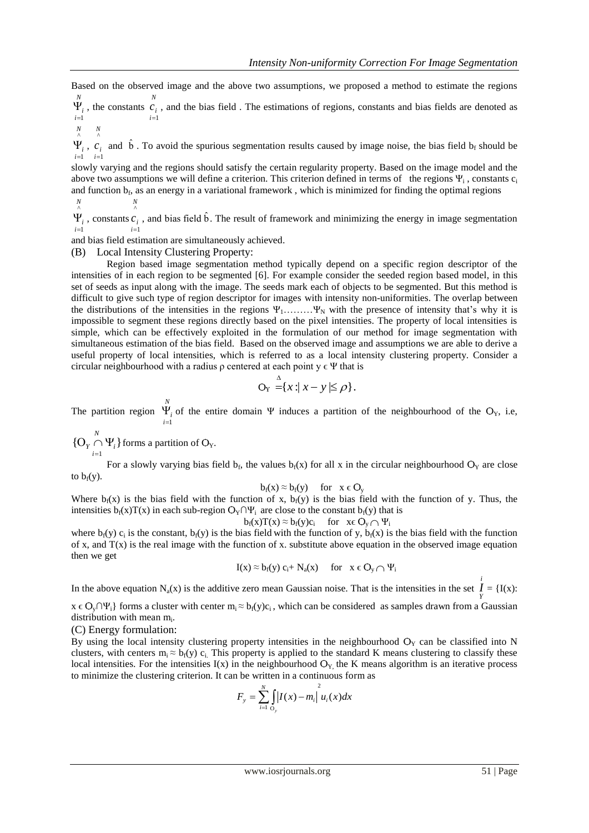Based on the observed image and the above two assumptions, we proposed a method to estimate the regions *N N*

 $\sum_{i=1}^{i}$  $\Psi_i$ , the constants  $\frac{c_i}{i}$  $=1$ , and the bias field . The estimations of regions, constants and bias fields are denoted as

$$
\begin{matrix} N & N \\ \wedge & \wedge \end{matrix}
$$

 $\frac{i}{i}$  $=$  $\Psi_i^{\vphantom{\dagger}}$  ,  $\sum_{i=1}^{n}$ 1  $=$ and  $\hat{b}$ . To avoid the spurious segmentation results caused by image noise, the bias field  $b_f$  should be

slowly varying and the regions should satisfy the certain regularity property. Based on the image model and the above two assumptions we will define a criterion. This criterion defined in terms of the regions  $\Psi_i$ , constants  $c_i$ and function  $b_f$ , as an energy in a variational framework, which is minimized for finding the optimal regions *N*

*N* ^

*i* 1  $\hat{\Psi}_i$ , constants  $\hat{c}_i$ *i* 1 , and bias field  $\hat{b}$ . The result of framework and minimizing the energy in image segmentation

and bias field estimation are simultaneously achieved.

(B) Local Intensity Clustering Property:

Region based image segmentation method typically depend on a specific region descriptor of the intensities of in each region to be segmented [6]. For example consider the seeded region based model, in this set of seeds as input along with the image. The seeds mark each of objects to be segmented. But this method is difficult to give such type of region descriptor for images with intensity non-uniformities. The overlap between the distributions of the intensities in the regions  $\Psi_1$ ………  $\Psi_N$  with the presence of intensity that's why it is impossible to segment these regions directly based on the pixel intensities. The property of local intensities is simple, which can be effectively exploited in the formulation of our method for image segmentation with simultaneous estimation of the bias field. Based on the observed image and assumptions we are able to derive a useful property of local intensities, which is referred to as a local intensity clustering property. Consider a circular neighbourhood with a radius  $\rho$  centered at each point  $y \in \Psi$  that is

$$
O_Y \stackrel{\Delta}{=} \{x : |x - y| \le \rho\}.
$$

The partition region *N*  $\frac{i}{i}$ <br>  $i=1$  $\Psi_i$  of the entire domain Ψ induces a partition of the neighbourhood of the O<sub>Y</sub>, i.e,

*N*  $Y$ <sup> $i-1$ </sup> $i$ <br> $i=1$  ${O_Y \cap \Psi_i}$ =  $O_Y \cap \Psi_i$  forms a partition of  $O_Y$ .

For a slowly varying bias field  $b_f$ , the values  $b_f(x)$  for all x in the circular neighbourhood  $O_Y$  are close to  $b_f(y)$ .

$$
b_f(x) \approx b_f(y) \quad \text{for} \quad x \in O_y
$$

Where  $b_f(x)$  is the bias field with the function of x,  $b_f(y)$  is the bias field with the function of y. Thus, the intensities  $b_f(x)T(x)$  in each sub-region  $O_Y \cap \Psi_i$  are close to the constant  $b_f(y)$  that is

$$
b_f(x)T(x) \approx b_f(y)c_i \quad \text{ for } x \in O_y \cap \Psi_i
$$

where  $b_f(y)$   $c_i$  is the constant,  $b_f(y)$  is the bias field with the function of y,  $b_f(x)$  is the bias field with the function of x, and  $T(x)$  is the real image with the function of x. substitute above equation in the observed image equation then we get

$$
I(x) \approx b_f(y) c_i + N_a(x) \quad \text{for} \quad x \in O_y \cap \Psi_i
$$

In the above equation  $N_a(x)$  is the additive zero mean Gaussian noise. That is the intensities in the set  $I = \{I(x):$ *i*

 $x \in O_v \cap \Psi_i$  forms a cluster with center  $m_i \approx b_f(y)c_i$ , which can be considered as samples drawn from a Gaussian distribution with mean  $m_i$ .

#### (C) Energy formulation:

By using the local intensity clustering property intensities in the neighbourhood  $O<sub>Y</sub>$  can be classified into N clusters, with centers  $m_i \approx b_f(y)$  c<sub>i.</sub> This property is applied to the standard K means clustering to classify these local intensities. For the intensities  $I(x)$  in the neighbourhood  $O<sub>Y</sub>$ , the K means algorithm is an iterative process to minimize the clustering criterion. It can be written in a continuous form as

$$
F_{y} = \sum_{i=1}^{N} \int_{\Omega_{y}} |I(x) - m_{i}|^{2} u_{i}(x) dx
$$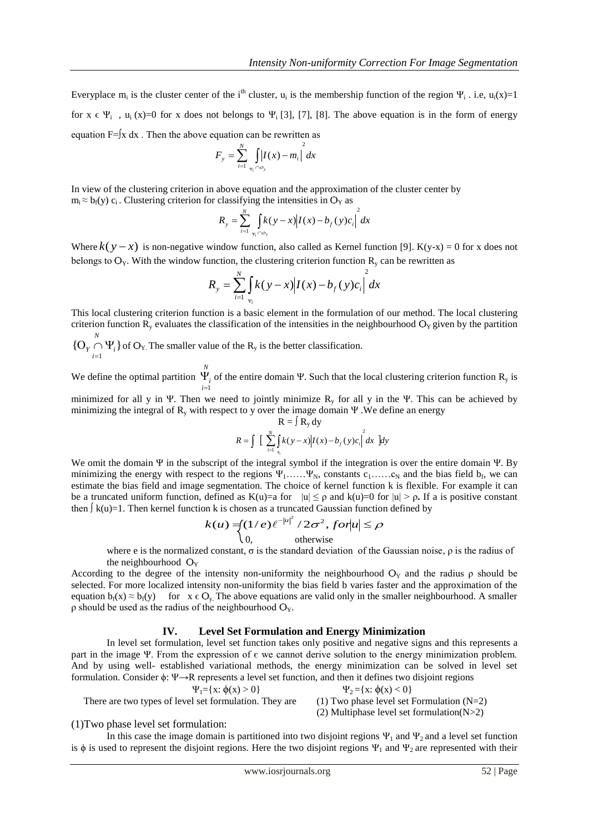Everyplace m<sub>i</sub> is the cluster center of the i<sup>th</sup> cluster, u<sub>i</sub> is the membership function of the region  $\Psi_i$ . i.e, u<sub>i</sub>(x)=1 for  $x \in \Psi_i$ ,  $u_i(x)=0$  for x does not belongs to  $\Psi_i$  [3], [7], [8]. The above equation is in the form of energy equation  $F=\int x dx$ . Then the above equation can be rewritten as

$$
F_{y} = \sum_{i=1}^{N} \int_{\Psi_{i} \cap \Theta_{y}} \left| I(x) - m_{i} \right|^{2} dx
$$

In view of the clustering criterion in above equation and the approximation of the cluster center by  $m_i \approx b_f(y) c_i$ . Clustering criterion for classifying the intensities in  $O<sub>Y</sub>$  as

$$
R_{y} = \sum_{i=1}^{N} \int_{\Psi_{i} \cap O_{y}} k(y - x) |I(x) - b_{f}(y)c_{i}|^{2} dx
$$

Where  $k(y-x)$  is non-negative window function, also called as Kernel function [9]. K(y-x) = 0 for x does not belongs to  $O_Y$ . With the window function, the clustering criterion function  $R_y$  can be rewritten as

$$
R_{y} = \sum_{i=1}^{N} \int_{\Psi_{i}} k(y - x) |I(x) - b_{f}(y)c_{i}|^{2} dx
$$

This local clustering criterion function is a basic element in the formulation of our method. The local clustering criterion function  $R_y$  evaluates the classification of the intensities in the neighbourhood  $O<sub>Y</sub>$  given by the partition

*N i*  ${O_Y \cap \Psi_i}$  of  $O_Y$ . The smaller value of the  $R_y$  is the better classification. 1  $\equiv$ 

We define the optimal partition *N*  $\int_{i=1}^{1}$  $\Psi_i$  of the entire domain Ψ. Such that the local clustering criterion function R<sub>y</sub> is

minimized for all y in Ψ. Then we need to jointly minimize  $R_y$  for all y in the Ψ. This can be achieved by minimizing the integral of  $R_y$  with respect to y over the image domain Ψ. We define an energy  $R = \ln 4$ 

$$
R = \int \left[ \sum_{i=1}^{N} \int_{\mathbf{w}_i} k(y-x) I(x) - b_f(y) c_i \right]^2 dx \, dy
$$

We omit the domain Ψ in the subscript of the integral symbol if the integration is over the entire domain Ψ. By minimizing the energy with respect to the regions  $\Psi_1$ …..  $\Psi_N$ , constants  $c_1$ …..  $c_N$  and the bias field  $b_f$ , we can estimate the bias field and image segmentation. The choice of kernel function k is flexible. For example it can be a truncated uniform function, defined as K(u)=a for  $|u| \le \rho$  and k(u)=0 for  $|u| > \rho$ . If a is positive constant then  $\int k(u)=1$ . Then kernel function k is chosen as a truncated Gaussian function defined by

$$
k(u) = \begin{cases} (1/e)\ell^{-|u|^2} / 2\sigma^2, \text{ for } |u| \le \rho \\ 0, \qquad \text{otherwise} \end{cases}
$$

where e is the normalized constant,  $\sigma$  is the standard deviation of the Gaussian noise,  $\rho$  is the radius of the neighbourhood  $O<sub>Y</sub>$ 

According to the degree of the intensity non-uniformity the neighbourhood  $O<sub>Y</sub>$  and the radius  $\rho$  should be selected. For more localized intensity non-uniformity the bias field b varies faster and the approximation of the equation  $b_f(x) \approx b_f(y)$  for  $x \in Q_y$ . The above equations are valid only in the smaller neighbourhood. A smaller  $ρ$  should be used as the radius of the neighbourhood  $O<sub>Y</sub>$ .

## **IV. Level Set Formulation and Energy Minimization**

In level set formulation, level set function takes only positive and negative signs and this represents a part in the image Ψ. From the expression of  $\epsilon$  we cannot derive solution to the energy minimization problem. And by using well- established variational methods, the energy minimization can be solved in level set formulation. Consider ϕ: Ψ→R represents a level set function, and then it defines two disjoint regions

$$
\Psi_1 = \{x: \phi(x) > 0\}
$$

There are two types of level set formulation. They are  $(1)$  Two phase level set Formulation (N=2)

 $\Psi_2 = \{x: \phi(x) < 0\}$ (2) Multiphase level set formulation(N>2)

#### (1)Two phase level set formulation:

In this case the image domain is partitioned into two disjoint regions  $\Psi_1$  and  $\Psi_2$  and a level set function is  $\phi$  is used to represent the disjoint regions. Here the two disjoint regions  $\Psi_1$  and  $\Psi_2$  are represented with their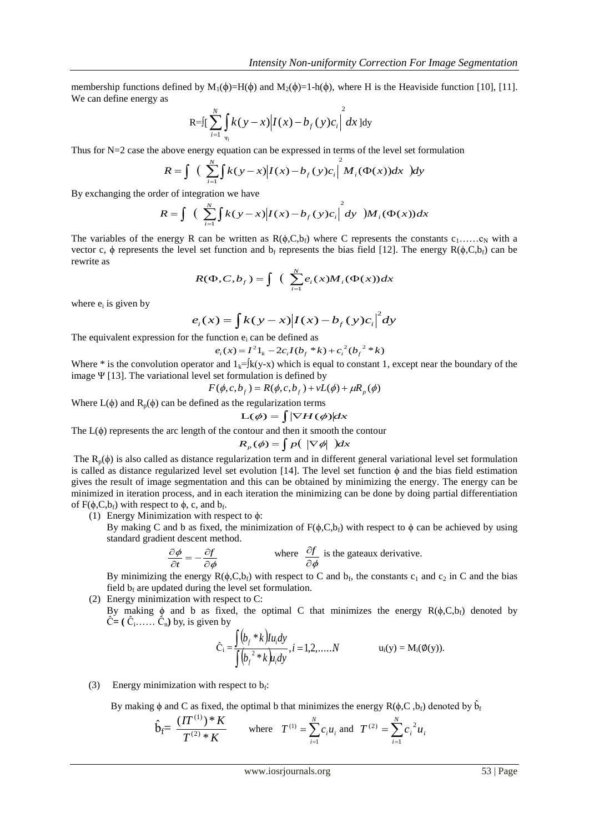membership functions defined by  $M_1(\phi)=H(\phi)$  and  $M_2(\phi)=1-h(\phi)$ , where H is the Heaviside function [10], [11]. We can define energy as

$$
R = \int \int_{t=1}^{N} \int_{\Psi_i} k(y - x) |I(x) - b_f(y) c_i|^{2} dx dy
$$

Thus for  $N=2$  case the above energy equation can be expressed in terms of the level set formulation

$$
R = \int \left( \sum_{i=1}^{N} \int k(y-x) \left| I(x) - b_f(y) c_i \right|^2 M_i(\Phi(x)) dx \right) dy
$$

By exchanging the order of integration we have

$$
R = \int \left( \sum_{i=1}^{N} \int k(y-x) \left| I(x) - b_f(y) c_i \right|^2 dy \right) M_i(\Phi(x)) dx
$$

The variables of the energy R can be written as  $R(\phi, C, b_f)$  where C represents the constants c<sub>1</sub>……c<sub>N</sub> with a vector c,  $\phi$  represents the level set function and b<sub>f</sub> represents the bias field [12]. The energy R( $\phi$ ,C,b<sub>f</sub>) can be rewrite as

$$
R(\Phi, C, b_f) = \int \left( \sum_{i=1}^{N} e_i(x) M_i(\Phi(x)) dx \right)
$$

where  $e_i$  is given by

$$
e_i(x) = \int k(y-x) |I(x) - b_f(y)c_i|^{2} dy
$$

The equivalent expression for the function  $e_i$  can be defined as

$$
e_i(x) = I^2 1_k - 2c_i I(b_f * k) + c_i^2 (b_f^2 * k)
$$

Where \* is the convolution operator and  $1_k=[k(y-x)$  which is equal to constant 1, except near the boundary of the image Ψ [13]. The variational level set formulation is defined by

$$
F(\phi, c, bf) = R(\phi, c, bf) + vL(\phi) + \mu Rp(\phi)
$$

Where  $L(\phi)$  and  $R_p(\phi)$  can be defined as the regularization terms  $L(\phi) = \int |\nabla H(\phi)| dx$ 

$$
L(\phi) = \int |\nabla H(\phi)| dx
$$

The  $L(\phi)$  represents the arc length of the contour and then it smooth the contour

$$
R_p(\phi) = \int p(\ |\nabla \phi| \ )dx
$$

The  $R_p(\phi)$  is also called as distance regularization term and in different general variational level set formulation is called as distance regularized level set evolution [14]. The level set function  $\phi$  and the bias field estimation gives the result of image segmentation and this can be obtained by minimizing the energy. The energy can be minimized in iteration process, and in each iteration the minimizing can be done by doing partial differentiation of  $F(\phi, C, b_f)$  with respect to  $\phi$ , c, and  $b_f$ .

(1) Energy Minimization with respect to  $\phi$ :

By making C and b as fixed, the minimization of  $F(\phi, C, b_f)$  with respect to  $\phi$  can be achieved by using standard gradient descent method.

$$
\frac{\partial \phi}{\partial t} = -\frac{\partial f}{\partial \phi}
$$
 where  $\frac{\partial f}{\partial \phi}$  is the gateaux derivative.

By minimizing the energy  $R(\phi, C, b_f)$  with respect to C and  $b_f$ , the constants  $c_1$  and  $c_2$  in C and the bias field  $b_f$  are updated during the level set formulation.

- (2) Energy minimization with respect to C:
	- By making  $\phi$  and b as fixed, the optimal C that minimizes the energy R( $\phi$ ,C,b<sub>f</sub>) denoted by  $\hat{C} = (\hat{C}_1, \dots, \hat{C}_n)$  by, is given by

$$
\hat{C}_i = \frac{\int (b_f * k) I u_i dy}{\int (b_f^2 * k) u_i dy}, i = 1, 2, .... N \qquad u_i(y) = M_i(\emptyset(y)).
$$

(3) Energy minimization with respect to  $b_f$ :

By making  $\phi$  and C as fixed, the optimal b that minimizes the energy R( $\phi$ ,C,  $b_f$ ) denoted by  $\hat{b}_f$ 

$$
\hat{\mathbf{b}}_{\mathbf{f}} = \frac{(\boldsymbol{\Pi}^{(1)})^* \boldsymbol{K}}{T^{(2)} * \boldsymbol{K}}
$$
 where  $T^{(1)} = \sum_{i=1}^N c_i u_i$  and  $T^{(2)} = \sum_{i=1}^N c_i^2 u_i$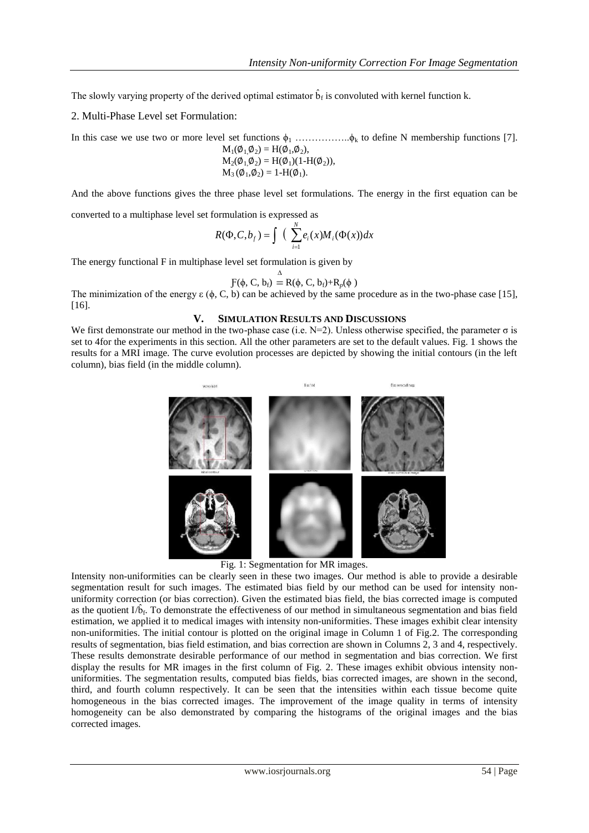The slowly varying property of the derived optimal estimator  $\hat{b}_f$  is convoluted with kernel function k.

2. Multi-Phase Level set Formulation:

In this case we use two or more level set functions  $\phi_1$  ………………... $\phi_k$  to define N membership functions [7].

$$
M_1(\emptyset_1 \emptyset_2) = H(\emptyset_1, \emptyset_2),
$$
  
\n
$$
M_2(\emptyset_1 \emptyset_2) = H(\emptyset_1)(1-H(\emptyset_2)),
$$
  
\n
$$
M_3(\emptyset_1, \emptyset_2) = 1-H(\emptyset_1).
$$

And the above functions gives the three phase level set formulations. The energy in the first equation can be

converted to a multiphase level set formulation is expressed as

$$
R(\Phi, C, b_f) = \int \left( \sum_{i=1}^{N} e_i(x) M_i(\Phi(x)) dx \right)
$$

The energy functional F in multiphase level set formulation is given by

$$
F(\phi, C, b_f) \stackrel{\Delta}{=} R(\phi, C, b_f) + R_p(\phi)
$$

The minimization of the energy  $\varepsilon$  ( $\phi$ , C, b) can be achieved by the same procedure as in the two-phase case [15],  $[16]$ .

## **V. SIMULATION RESULTS AND DISCUSSIONS**

We first demonstrate our method in the two-phase case (i.e.  $N=2$ ). Unless otherwise specified, the parameter  $\sigma$  is set to 4for the experiments in this section. All the other parameters are set to the default values. Fig. 1 shows the results for a MRI image. The curve evolution processes are depicted by showing the initial contours (in the left column), bias field (in the middle column).



Fig. 1: Segmentation for MR images.

Intensity non-uniformities can be clearly seen in these two images. Our method is able to provide a desirable segmentation result for such images. The estimated bias field by our method can be used for intensity nonuniformity correction (or bias correction). Given the estimated bias field, the bias corrected image is computed as the quotient  $I/\hat{b}_f$ . To demonstrate the effectiveness of our method in simultaneous segmentation and bias field estimation, we applied it to medical images with intensity non-uniformities. These images exhibit clear intensity non-uniformities. The initial contour is plotted on the original image in Column 1 of Fig.2. The corresponding results of segmentation, bias field estimation, and bias correction are shown in Columns 2, 3 and 4, respectively. These results demonstrate desirable performance of our method in segmentation and bias correction. We first display the results for MR images in the first column of Fig. 2. These images exhibit obvious intensity nonuniformities. The segmentation results, computed bias fields, bias corrected images, are shown in the second, third, and fourth column respectively. It can be seen that the intensities within each tissue become quite homogeneous in the bias corrected images. The improvement of the image quality in terms of intensity homogeneity can be also demonstrated by comparing the histograms of the original images and the bias corrected images.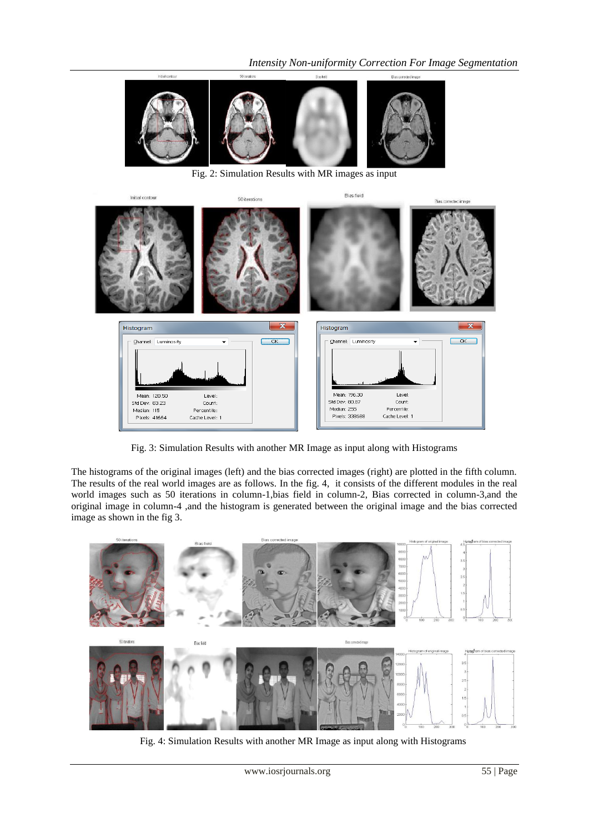

Fig. 2: Simulation Results with MR images as input



Fig. 3: Simulation Results with another MR Image as input along with Histograms

The histograms of the original images (left) and the bias corrected images (right) are plotted in the fifth column. The results of the real world images are as follows. In the fig. 4, it consists of the different modules in the real world images such as 50 iterations in column-1,bias field in column-2, Bias corrected in column-3,and the original image in column-4 ,and the histogram is generated between the original image and the bias corrected image as shown in the fig 3.



Fig. 4: Simulation Results with another MR Image as input along with Histograms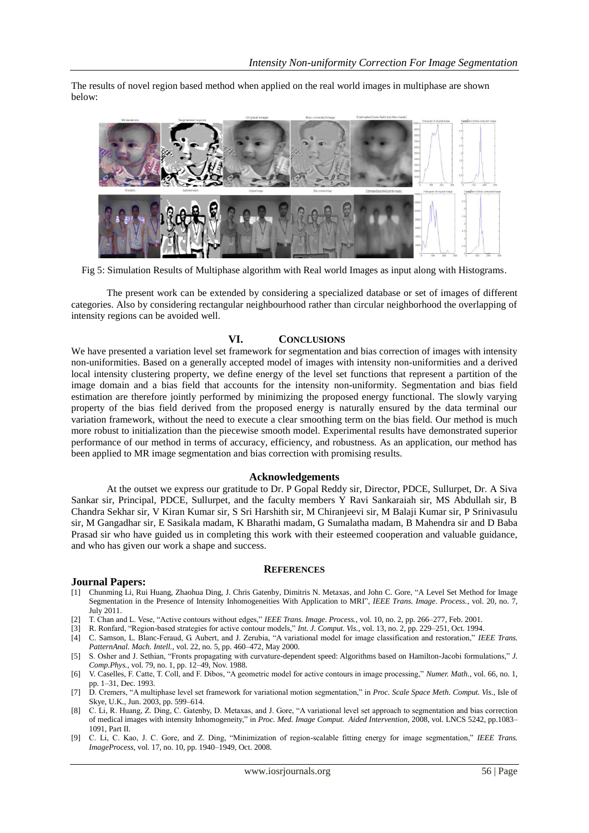The results of novel region based method when applied on the real world images in multiphase are shown below:



Fig 5: Simulation Results of Multiphase algorithm with Real world Images as input along with Histograms.

The present work can be extended by considering a specialized database or set of images of different categories. Also by considering rectangular neighbourhood rather than circular neighborhood the overlapping of intensity regions can be avoided well.

# **VI. CONCLUSIONS**

We have presented a variation level set framework for segmentation and bias correction of images with intensity non-uniformities. Based on a generally accepted model of images with intensity non-uniformities and a derived local intensity clustering property, we define energy of the level set functions that represent a partition of the image domain and a bias field that accounts for the intensity non-uniformity. Segmentation and bias field estimation are therefore jointly performed by minimizing the proposed energy functional. The slowly varying property of the bias field derived from the proposed energy is naturally ensured by the data terminal our variation framework, without the need to execute a clear smoothing term on the bias field. Our method is much more robust to initialization than the piecewise smooth model. Experimental results have demonstrated superior performance of our method in terms of accuracy, efficiency, and robustness. As an application, our method has been applied to MR image segmentation and bias correction with promising results.

## **Acknowledgements**

At the outset we express our gratitude to Dr. P Gopal Reddy sir, Director, PDCE, Sullurpet, Dr. A Siva Sankar sir, Principal, PDCE, Sullurpet, and the faculty members Y Ravi Sankaraiah sir, MS Abdullah sir, B Chandra Sekhar sir, V Kiran Kumar sir, S Sri Harshith sir, M Chiranjeevi sir, M Balaji Kumar sir, P Srinivasulu sir, M Gangadhar sir, E Sasikala madam, K Bharathi madam, G Sumalatha madam, B Mahendra sir and D Baba Prasad sir who have guided us in completing this work with their esteemed cooperation and valuable guidance, and who has given our work a shape and success.

#### **REFERENCES**

## **Journal Papers:**

- [1] Chunming Li, Rui Huang, Zhaohua Ding, J. Chris Gatenby, Dimitris N. Metaxas*,* and John C. Gore, "A Level Set Method for Image Segmentation in the Presence of Intensity Inhomogeneities With Application to MRI", *IEEE Trans. Image. Process.*, vol. 20, no. 7, July 2011.
- [2] T. Chan and L. Vese, "Active contours without edges," *IEEE Trans. Image. Process.*, vol. 10, no. 2, pp. 266–277, Feb. 2001.
- [3] R. Ronfard, "Region-based strategies for active contour models," *Int. J. Comput. Vis.*, vol. 13, no. 2, pp. 229–251, Oct. 1994.
- [4] C. Samson, L. Blanc-Feraud, G. Aubert, and J. Zerubia, "A variational model for image classification and restoration," *IEEE Trans. PatternAnal. Mach. Intell.*, vol. 22, no. 5, pp. 460–472, May 2000.
- [5] S. Osher and J. Sethian, "Fronts propagating with curvature-dependent speed: Algorithms based on Hamilton-Jacobi formulations," *J. Comp.Phys.*, vol. 79, no. 1, pp. 12–49, Nov. 1988.
- [6] V. Caselles, F. Catte, T. Coll, and F. Dibos, "A geometric model for active contours in image processing," *Numer. Math.*, vol. 66, no. 1, pp. 1–31, Dec. 1993.
- [7] D. Cremers, "A multiphase level set framework for variational motion segmentation," in *Proc. Scale Space Meth. Comput. Vis.*, Isle of Skye, U.K., Jun. 2003, pp. 599–614.
- [8] C. Li, R. Huang, Z. Ding, C. Gatenby, D. Metaxas, and J. Gore, "A variational level set approach to segmentation and bias correction of medical images with intensity Inhomogeneity," in *Proc. Med. Image Comput. Aided Intervention*, 2008, vol. LNCS 5242, pp.1083– 1091, Part II.
- [9] C. Li, C. Kao, J. C. Gore, and Z. Ding, "Minimization of region-scalable fitting energy for image segmentation," *IEEE Trans. ImageProcess*, vol. 17, no. 10, pp. 1940–1949, Oct. 2008.